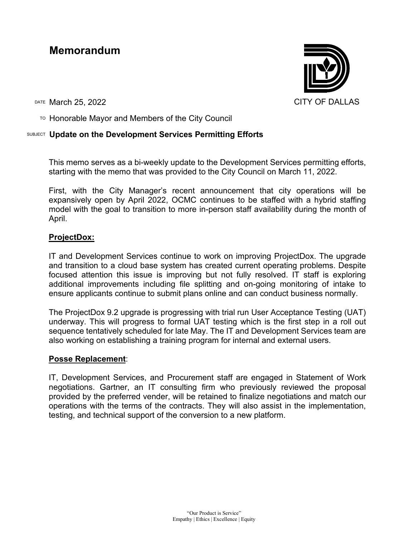# **Memorandum**

DATE March 25, 2022 CITY OF DALLAS

TO Honorable Mayor and Members of the City Council

# SUBJECT **Update on the Development Services Permitting Efforts**

This memo serves as a bi-weekly update to the Development Services permitting efforts, starting with the memo that was provided to the City Council on March 11, 2022.

First, with the City Manager's recent announcement that city operations will be expansively open by April 2022, OCMC continues to be staffed with a hybrid staffing model with the goal to transition to more in-person staff availability during the month of April.

# **ProjectDox:**

IT and Development Services continue to work on improving ProjectDox. The upgrade and transition to a cloud base system has created current operating problems. Despite focused attention this issue is improving but not fully resolved. IT staff is exploring additional improvements including file splitting and on-going monitoring of intake to ensure applicants continue to submit plans online and can conduct business normally.

The ProjectDox 9.2 upgrade is progressing with trial run User Acceptance Testing (UAT) underway. This will progress to formal UAT testing which is the first step in a roll out sequence tentatively scheduled for late May. The IT and Development Services team are also working on establishing a training program for internal and external users.

# **Posse Replacement**:

IT, Development Services, and Procurement staff are engaged in Statement of Work negotiations. Gartner, an IT consulting firm who previously reviewed the proposal provided by the preferred vender, will be retained to finalize negotiations and match our operations with the terms of the contracts. They will also assist in the implementation, testing, and technical support of the conversion to a new platform.